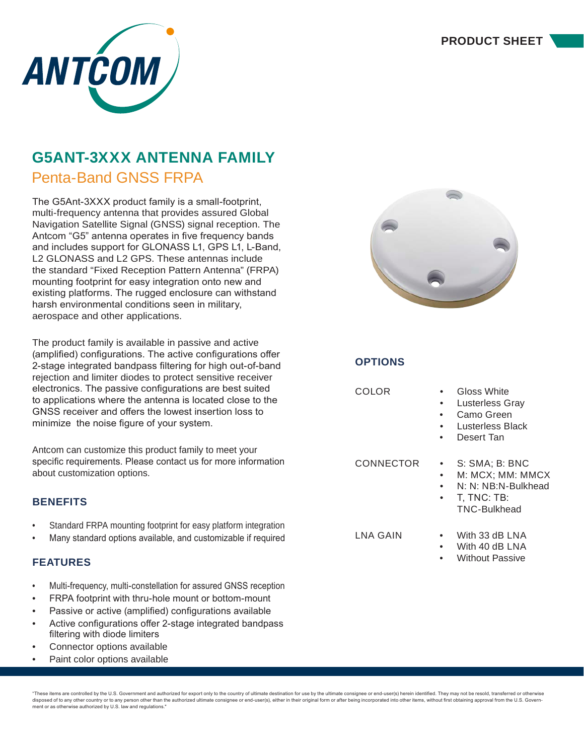

# **G5ANT-3XXX ANTENNA FAMILY**

Penta-Band GNSS FRPA

The G5Ant-3XXX product family is a small-footprint, multi-frequency antenna that provides assured Global Navigation Satellite Signal (GNSS) signal reception. The Antcom "G5" antenna operates in five frequency bands and includes support for GLONASS L1, GPS L1, L-Band, L2 GLONASS and L2 GPS. These antennas include the standard "Fixed Reception Pattern Antenna" (FRPA) mounting footprint for easy integration onto new and existing platforms. The rugged enclosure can withstand harsh environmental conditions seen in military, aerospace and other applications.

The product family is available in passive and active (amplified) configurations. The active configurations offer 2-stage integrated bandpass filtering for high out-of-band rejection and limiter diodes to protect sensitive receiver electronics. The passive configurations are best suited to applications where the antenna is located close to the GNSS receiver and offers the lowest insertion loss to minimize the noise figure of your system.

Antcom can customize this product family to meet your specific requirements. Please contact us for more information about customization options.

## **BENEFITS**

- Standard FRPA mounting footprint for easy platform integration
- Many standard options available, and customizable if required

## **FEATURES**

- Multi-frequency, multi-constellation for assured GNSS reception
- FRPA footprint with thru-hole mount or bottom-mount
- Passive or active (amplified) configurations available
- Active configurations offer 2-stage integrated bandpass filtering with diode limiters
- Connector options available
- Paint color options available



| <b>OPTIONS</b> |
|----------------|
|----------------|

COLOR • Gloss White

- **Lusterless Gray**
- Camo Green
- Lusterless Black
- Desert Tan

- CONNECTOR S: SMA; B: BNC
	- M: MCX; MM: MMCX
	- N: N: NB:N-Bulkhead • T, TNC: TB:
	- TNC-Bulkhead

- LNA GAIN With 33 dB LNA
	- With 40 dB LNA
	- Without Passive

"These items are controlled by the U.S. Government and authorized for export only to the country of ultimate destination for use by the ultimate consignee or end-user(s) herein identified. They may not be resold, transferr disposed of to any other country or to any person other than the authorized ultimate consignee or end-user(s), either in their original form or after being incorporated into other items, without first obtaining approval fr ment or as otherwise authorized by U.S. law and regulations."